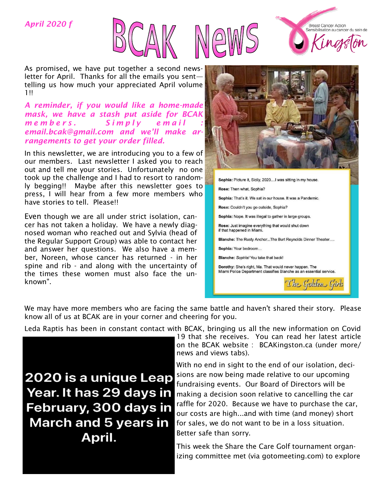### *April 2020 f*







*A reminder, if you would like a home-made mask, we have a stash put aside for BCAK m e m b e r s . S i m p l y e m a i l : email.bcak@gmail.com and we'll make arrangements to get your order filled.* 

In this newsletter, we are introducing you to a few of our members. Last newsletter I asked you to reach out and tell me your stories. Unfortunately no one took up the challenge and I had to resort to randomly begging!! Maybe after this newsletter goes to press, I will hear from a few more members who have stories to tell. Please!!

Even though we are all under strict isolation, cancer has not taken a holiday. We have a newly diagnosed woman who reached out and Sylvia (head of the Regular Support Group) was able to contact her and answer her questions. We also have a member, Noreen, whose cancer has returned - in her spine and rib - and along with the uncertainty of the times these women must also face the unknown".



**Breast Cancer Action** Sensibilisation au cancer du sein de

We may have more members who are facing the same battle and haven't shared their story. Please know all of us at BCAK are in your corner and cheering for you.

Leda Raptis has been in constant contact with BCAK, bringing us all the new information on Covid

**2020 is a unique Leap** Year. It has 29 days in February, 300 days in **March and 5 years in** April.

19 that she receives. You can read her latest article on the BCAK website : BCAKingston.ca (under more/ news and views tabs).

With no end in sight to the end of our isolation, decisions are now being made relative to our upcoming fundraising events. Our Board of Directors will be making a decision soon relative to cancelling the car raffle for 2020. Because we have to purchase the car, our costs are high...and with time (and money) short for sales, we do not want to be in a loss situation. Better safe than sorry.

This week the Share the Care Golf tournament organizing committee met (via gotomeeting.com) to explore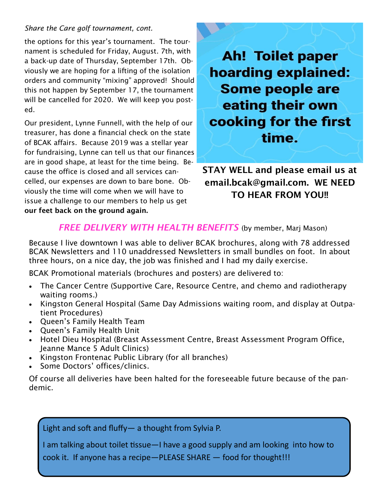### *Share the Care golf tournament, cont.*

the options for this year's tournament. The tournament is scheduled for Friday, August. 7th, with a back-up date of Thursday, September 17th. Obviously we are hoping for a lifting of the isolation orders and community "mixing" approved! Should this not happen by September 17, the tournament will be cancelled for 2020. We will keep you posted.

Our president, Lynne Funnell, with the help of our treasurer, has done a financial check on the state of BCAK affairs. Because 2019 was a stellar year for fundraising, Lynne can tell us that our finances are in good shape, at least for the time being. Because the office is closed and all services cancelled, our expenses are down to bare bone. Obviously the time will come when we will have to issue a challenge to our members to help us get our feet back on the ground again.

**Ah! Toilet paper hoarding explained: Some people are** eating their own cooking for the first time.

# STAY WELL and please email us at email.bcak@gmail.com. WE NEED TO HEAR FROM YOU!!

## *FREE DELIVERY WITH HEALTH BENEFITS* (by member, Marj Mason)

Because I live downtown I was able to deliver BCAK brochures, along with 78 addressed BCAK Newsletters and 110 unaddressed Newsletters in small bundles on foot. In about three hours, on a nice day, the job was finished and I had my daily exercise.

BCAK Promotional materials (brochures and posters) are delivered to:

- The Cancer Centre (Supportive Care, Resource Centre, and chemo and radiotherapy waiting rooms.)
- Kingston General Hospital (Same Day Admissions waiting room, and display at Outpatient Procedures)
- Queen's Family Health Team
- Queen's Family Health Unit
- Hotel Dieu Hospital (Breast Assessment Centre, Breast Assessment Program Office, Jeanne Mance 5 Adult Clinics)
- Kingston Frontenac Public Library (for all branches)
- Some Doctors' offices/clinics.

Of course all deliveries have been halted for the foreseeable future because of the pandemic.

Light and soft and fluffy— a thought from Sylvia P.

I am talking about toilet tissue—I have a good supply and am looking into how to

cook it. If anyone has a recipe—PLEASE SHARE — food for thought!!!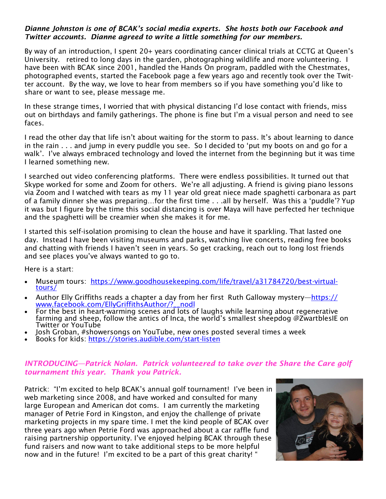#### *Dianne Johnston is one of BCAK's social media experts. She hosts both our Facebook and Twitter accounts. Dianne agreed to write a little something for our members.*

By way of an introduction, I spent 20+ years coordinating cancer clinical trials at CCTG at Queen's University. retired to long days in the garden, photographing wildlife and more volunteering. I have been with BCAK since 2001, handled the Hands On program, paddled with the Chestmates, photographed events, started the Facebook page a few years ago and recently took over the Twitter account. By the way, we love to hear from members so if you have something you'd like to share or want to see, please message me.

In these strange times, I worried that with physical distancing I'd lose contact with friends, miss out on birthdays and family gatherings. The phone is fine but I'm a visual person and need to see faces.

I read the other day that life isn't about waiting for the storm to pass. It's about learning to dance in the rain . . . and jump in every puddle you see. So I decided to 'put my boots on and go for a walk'. I've always embraced technology and loved the internet from the beginning but it was time I learned something new.

I searched out video conferencing platforms. There were endless possibilities. It turned out that Skype worked for some and Zoom for others. We're all adjusting. A friend is giving piano lessons via Zoom and I watched with tears as my 11 year old great niece made spaghetti carbonara as part of a family dinner she was preparing…for the first time . . .all by herself. Was this a 'puddle'? Yup it was but I figure by the time this social distancing is over Maya will have perfected her technique and the spaghetti will be creamier when she makes it for me.

I started this self-isolation promising to clean the house and have it sparkling. That lasted one day. Instead I have been visiting museums and parks, watching live concerts, reading free books and chatting with friends I haven't seen in years. So get cracking, reach out to long lost friends and see places you've always wanted to go to.

Here is a start:

- Museum tours: [https://www.goodhousekeeping.com/life/travel/a31784720/best-virtual](https://www.goodhousekeeping.com/life/travel/a31784720/best-virtual-tours/)[tours/](https://www.goodhousekeeping.com/life/travel/a31784720/best-virtual-tours/)
- Author Elly Griffiths reads a chapter a day from her first Ruth Galloway mystery—[https://](https://www.facebook.com/EllyGriffithsAuthor/?__nodl) [www.facebook.com/EllyGriffithsAuthor/?\\_\\_nodl](https://www.facebook.com/EllyGriffithsAuthor/?__nodl)
- For the best in heart-warming scenes and lots of laughs while learning about regenerative farming and sheep, follow the antics of Inca, the world's smallest sheepdog @ZwartblesIE on Twitter or YouTube
- Josh Groban, #showersongs on YouTube, new ones posted several times a week
- Books for kids:<https://stories.audible.com/start-listen>

#### *INTRODUCING—Patrick Nolan. Patrick volunteered to take over the Share the Care golf tournament this year. Thank you Patrick.*

Patrick: "I'm excited to help BCAK's annual golf tournament! I've been in web marketing since 2008, and have worked and consulted for many large European and American dot coms. I am currently the marketing manager of Petrie Ford in Kingston, and enjoy the challenge of private marketing projects in my spare time. I met the kind people of BCAK over three years ago when Petrie Ford was approached about a car raffle fund raising partnership opportunity. I've enjoyed helping BCAK through these fund raisers and now want to take additional steps to be more helpful now and in the future! I'm excited to be a part of this great charity! "